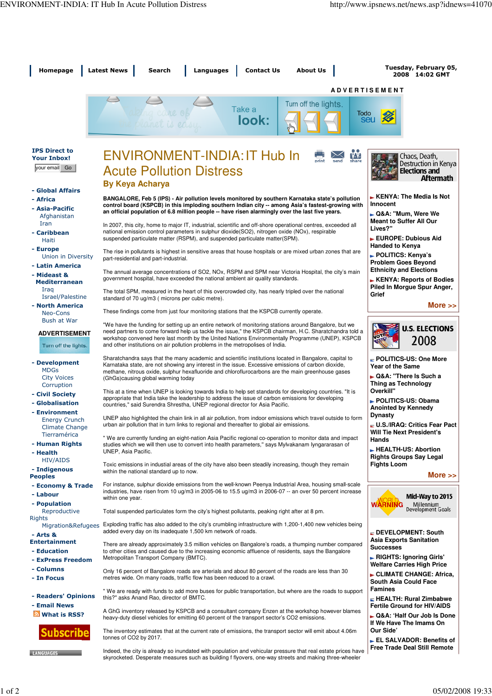